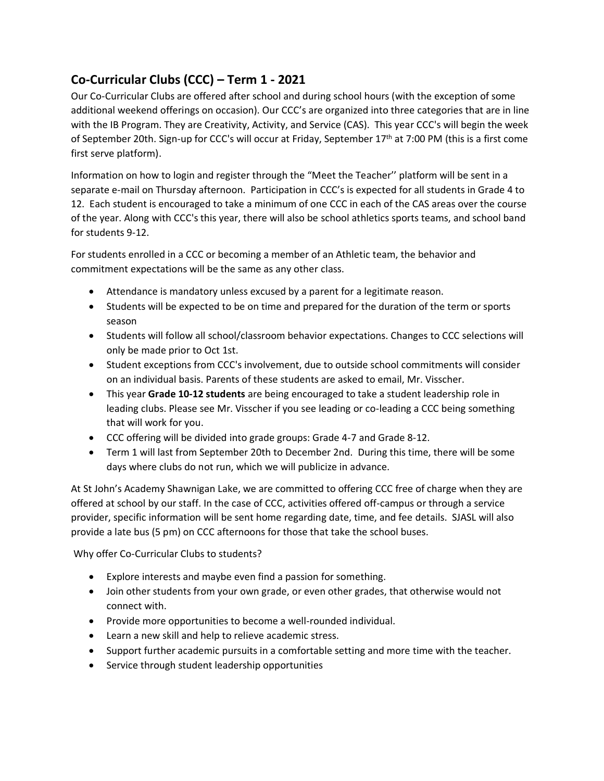## **Co-Curricular Clubs (CCC) – Term 1 - 2021**

Our Co-Curricular Clubs are offered after school and during school hours (with the exception of some additional weekend offerings on occasion). Our CCC's are organized into three categories that are in line with the IB Program. They are Creativity, Activity, and Service (CAS). This year CCC's will begin the week of September 20th. Sign-up for CCC's will occur at Friday, September 17<sup>th</sup> at 7:00 PM (this is a first come first serve platform).

Information on how to login and register through the "Meet the Teacher'' platform will be sent in a separate e-mail on Thursday afternoon. Participation in CCC's is expected for all students in Grade 4 to 12. Each student is encouraged to take a minimum of one CCC in each of the CAS areas over the course of the year. Along with CCC's this year, there will also be school athletics sports teams, and school band for students 9-12.

For students enrolled in a CCC or becoming a member of an Athletic team, the behavior and commitment expectations will be the same as any other class.

- Attendance is mandatory unless excused by a parent for a legitimate reason.
- Students will be expected to be on time and prepared for the duration of the term or sports season
- Students will follow all school/classroom behavior expectations. Changes to CCC selections will only be made prior to Oct 1st.
- Student exceptions from CCC's involvement, due to outside school commitments will consider on an individual basis. Parents of these students are asked to email, Mr. Visscher.
- This year **Grade 10-12 students** are being encouraged to take a student leadership role in leading clubs. Please see Mr. Visscher if you see leading or co-leading a CCC being something that will work for you.
- CCC offering will be divided into grade groups: Grade 4-7 and Grade 8-12.
- Term 1 will last from September 20th to December 2nd. During this time, there will be some days where clubs do not run, which we will publicize in advance.

At St John's Academy Shawnigan Lake, we are committed to offering CCC free of charge when they are offered at school by our staff. In the case of CCC, activities offered off-campus or through a service provider, specific information will be sent home regarding date, time, and fee details. SJASL will also provide a late bus (5 pm) on CCC afternoons for those that take the school buses.

Why offer Co-Curricular Clubs to students?

- Explore interests and maybe even find a passion for something.
- Join other students from your own grade, or even other grades, that otherwise would not connect with.
- Provide more opportunities to become a well-rounded individual.
- Learn a new skill and help to relieve academic stress.
- Support further academic pursuits in a comfortable setting and more time with the teacher.
- Service through student leadership opportunities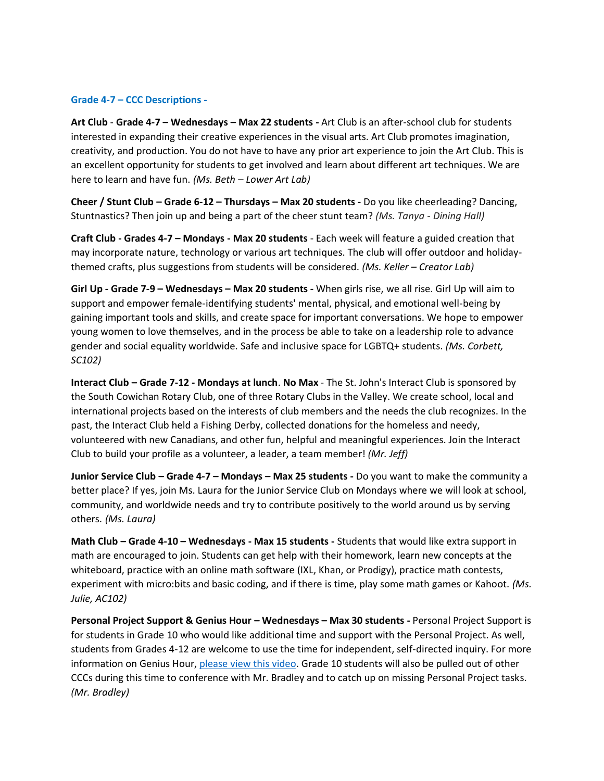## **Grade 4-7 – CCC Descriptions -**

**Art Club** - **Grade 4-7 – Wednesdays – Max 22 students -** Art Club is an after-school club for students interested in expanding their creative experiences in the visual arts. Art Club promotes imagination, creativity, and production. You do not have to have any prior art experience to join the Art Club. This is an excellent opportunity for students to get involved and learn about different art techniques. We are here to learn and have fun. *(Ms. Beth – Lower Art Lab)*

**Cheer / Stunt Club – Grade 6-12 – Thursdays – Max 20 students -** Do you like cheerleading? Dancing, Stuntnastics? Then join up and being a part of the cheer stunt team? *(Ms. Tanya - Dining Hall)*

**Craft Club - Grades 4-7 – Mondays - Max 20 students** - Each week will feature a guided creation that may incorporate nature, technology or various art techniques. The club will offer outdoor and holidaythemed crafts, plus suggestions from students will be considered. *(Ms. Keller – Creator Lab)*

**Girl Up - Grade 7-9 – Wednesdays – Max 20 students -** When girls rise, we all rise. Girl Up will aim to support and empower female-identifying students' mental, physical, and emotional well-being by gaining important tools and skills, and create space for important conversations. We hope to empower young women to love themselves, and in the process be able to take on a leadership role to advance gender and social equality worldwide. Safe and inclusive space for LGBTQ+ students. *(Ms. Corbett, SC102)*

**Interact Club – Grade 7-12 - Mondays at lunch**. **No Max** - The St. John's Interact Club is sponsored by the South Cowichan Rotary Club, one of three Rotary Clubs in the Valley. We create school, local and international projects based on the interests of club members and the needs the club recognizes. In the past, the Interact Club held a Fishing Derby, collected donations for the homeless and needy, volunteered with new Canadians, and other fun, helpful and meaningful experiences. Join the Interact Club to build your profile as a volunteer, a leader, a team member! *(Mr. Jeff)*

**Junior Service Club – Grade 4-7 – Mondays – Max 25 students -** Do you want to make the community a better place? If yes, join Ms. Laura for the Junior Service Club on Mondays where we will look at school, community, and worldwide needs and try to contribute positively to the world around us by serving others. *(Ms. Laura)*

**Math Club – Grade 4-10 – Wednesdays - Max 15 students -** Students that would like extra support in math are encouraged to join. Students can get help with their homework, learn new concepts at the whiteboard, practice with an online math software (IXL, Khan, or Prodigy), practice math contests, experiment with micro:bits and basic coding, and if there is time, play some math games or Kahoot. *(Ms. Julie, AC102)*

**Personal Project Support & Genius Hour – Wednesdays – Max 30 students -** Personal Project Support is for students in Grade 10 who would like additional time and support with the Personal Project. As well, students from Grades 4-12 are welcome to use the time for independent, self-directed inquiry. For more information on Genius Hour, [please view this video.](https://youtu.be/COF-bqZuE-I) Grade 10 students will also be pulled out of other CCCs during this time to conference with Mr. Bradley and to catch up on missing Personal Project tasks. *(Mr. Bradley)*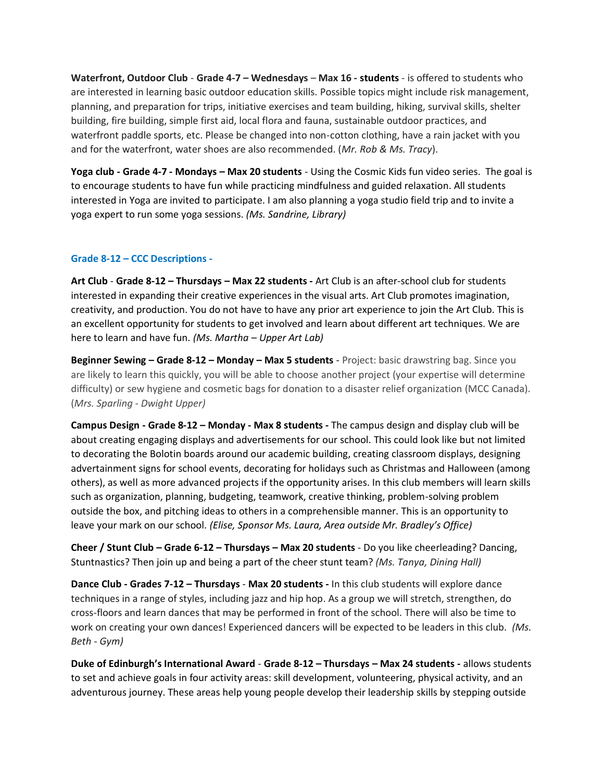**Waterfront, Outdoor Club** - **Grade 4-7 – Wednesdays** – **Max 16 - students** - is offered to students who are interested in learning basic outdoor education skills. Possible topics might include risk management, planning, and preparation for trips, initiative exercises and team building, hiking, survival skills, shelter building, fire building, simple first aid, local flora and fauna, sustainable outdoor practices, and waterfront paddle sports, etc. Please be changed into non-cotton clothing, have a rain jacket with you and for the waterfront, water shoes are also recommended. (*Mr. Rob & Ms. Tracy*).

**Yoga club - Grade 4-7 - Mondays – Max 20 students** - Using the Cosmic Kids fun video series. The goal is to encourage students to have fun while practicing mindfulness and guided relaxation. All students interested in Yoga are invited to participate. I am also planning a yoga studio field trip and to invite a yoga expert to run some yoga sessions. *(Ms. Sandrine, Library)*

## **Grade 8-12 – CCC Descriptions -**

**Art Club** - **Grade 8-12 – Thursdays – Max 22 students -** Art Club is an after-school club for students interested in expanding their creative experiences in the visual arts. Art Club promotes imagination, creativity, and production. You do not have to have any prior art experience to join the Art Club. This is an excellent opportunity for students to get involved and learn about different art techniques. We are here to learn and have fun. *(Ms. Martha – Upper Art Lab)*

**Beginner Sewing – Grade 8-12 – Monday – Max 5 students** - Project: basic drawstring bag. Since you are likely to learn this quickly, you will be able to choose another project (your expertise will determine difficulty) or sew hygiene and cosmetic bags for donation to a disaster relief organization (MCC Canada). (*Mrs. Sparling - Dwight Upper)*

**Campus Design - Grade 8-12 – Monday - Max 8 students -** The campus design and display club will be about creating engaging displays and advertisements for our school. This could look like but not limited to decorating the Bolotin boards around our academic building, creating classroom displays, designing advertainment signs for school events, decorating for holidays such as Christmas and Halloween (among others), as well as more advanced projects if the opportunity arises. In this club members will learn skills such as organization, planning, budgeting, teamwork, creative thinking, problem-solving problem outside the box, and pitching ideas to others in a comprehensible manner. This is an opportunity to leave your mark on our school. *(Elise, Sponsor Ms. Laura, Area outside Mr. Bradley's Office)*

**Cheer / Stunt Club – Grade 6-12 – Thursdays – Max 20 students** - Do you like cheerleading? Dancing, Stuntnastics? Then join up and being a part of the cheer stunt team? *(Ms. Tanya, Dining Hall)*

**Dance Club - Grades 7-12 – Thursdays** - **Max 20 students -** In this club students will explore dance techniques in a range of styles, including jazz and hip hop. As a group we will stretch, strengthen, do cross-floors and learn dances that may be performed in front of the school. There will also be time to work on creating your own dances! Experienced dancers will be expected to be leaders in this club. *(Ms. Beth - Gym)*

**Duke of Edinburgh's International Award** - **Grade 8-12 – Thursdays – Max 24 students -** allows students to set and achieve goals in four activity areas: skill development, volunteering, physical activity, and an adventurous journey. These areas help young people develop their leadership skills by stepping outside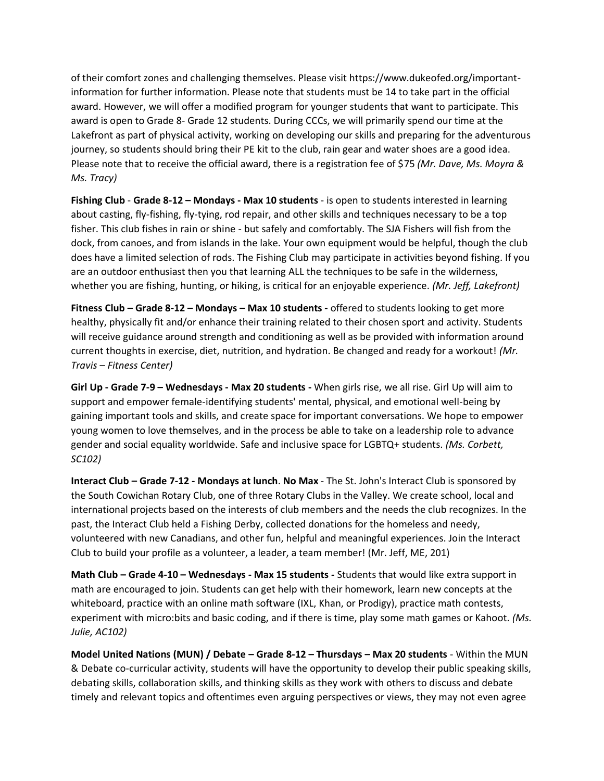of their comfort zones and challenging themselves. Please visit https://www.dukeofed.org/importantinformation for further information. Please note that students must be 14 to take part in the official award. However, we will offer a modified program for younger students that want to participate. This award is open to Grade 8- Grade 12 students. During CCCs, we will primarily spend our time at the Lakefront as part of physical activity, working on developing our skills and preparing for the adventurous journey, so students should bring their PE kit to the club, rain gear and water shoes are a good idea. Please note that to receive the official award, there is a registration fee of \$75 *(Mr. Dave, Ms. Moyra & Ms. Tracy)*

**Fishing Club** - **Grade 8-12 – Mondays - Max 10 students** - is open to students interested in learning about casting, fly-fishing, fly-tying, rod repair, and other skills and techniques necessary to be a top fisher. This club fishes in rain or shine - but safely and comfortably. The SJA Fishers will fish from the dock, from canoes, and from islands in the lake. Your own equipment would be helpful, though the club does have a limited selection of rods. The Fishing Club may participate in activities beyond fishing. If you are an outdoor enthusiast then you that learning ALL the techniques to be safe in the wilderness, whether you are fishing, hunting, or hiking, is critical for an enjoyable experience. *(Mr. Jeff, Lakefront)*

**Fitness Club – Grade 8-12 – Mondays – Max 10 students -** offered to students looking to get more healthy, physically fit and/or enhance their training related to their chosen sport and activity. Students will receive guidance around strength and conditioning as well as be provided with information around current thoughts in exercise, diet, nutrition, and hydration. Be changed and ready for a workout! *(Mr. Travis – Fitness Center)*

**Girl Up - Grade 7-9 – Wednesdays - Max 20 students -** When girls rise, we all rise. Girl Up will aim to support and empower female-identifying students' mental, physical, and emotional well-being by gaining important tools and skills, and create space for important conversations. We hope to empower young women to love themselves, and in the process be able to take on a leadership role to advance gender and social equality worldwide. Safe and inclusive space for LGBTQ+ students. *(Ms. Corbett, SC102)*

**Interact Club – Grade 7-12 - Mondays at lunch**. **No Max** - The St. John's Interact Club is sponsored by the South Cowichan Rotary Club, one of three Rotary Clubs in the Valley. We create school, local and international projects based on the interests of club members and the needs the club recognizes. In the past, the Interact Club held a Fishing Derby, collected donations for the homeless and needy, volunteered with new Canadians, and other fun, helpful and meaningful experiences. Join the Interact Club to build your profile as a volunteer, a leader, a team member! (Mr. Jeff, ME, 201)

**Math Club – Grade 4-10 – Wednesdays - Max 15 students -** Students that would like extra support in math are encouraged to join. Students can get help with their homework, learn new concepts at the whiteboard, practice with an online math software (IXL, Khan, or Prodigy), practice math contests, experiment with micro:bits and basic coding, and if there is time, play some math games or Kahoot. *(Ms. Julie, AC102)*

**Model United Nations (MUN) / Debate – Grade 8-12 – Thursdays – Max 20 students** - Within the MUN & Debate co-curricular activity, students will have the opportunity to develop their public speaking skills, debating skills, collaboration skills, and thinking skills as they work with others to discuss and debate timely and relevant topics and oftentimes even arguing perspectives or views, they may not even agree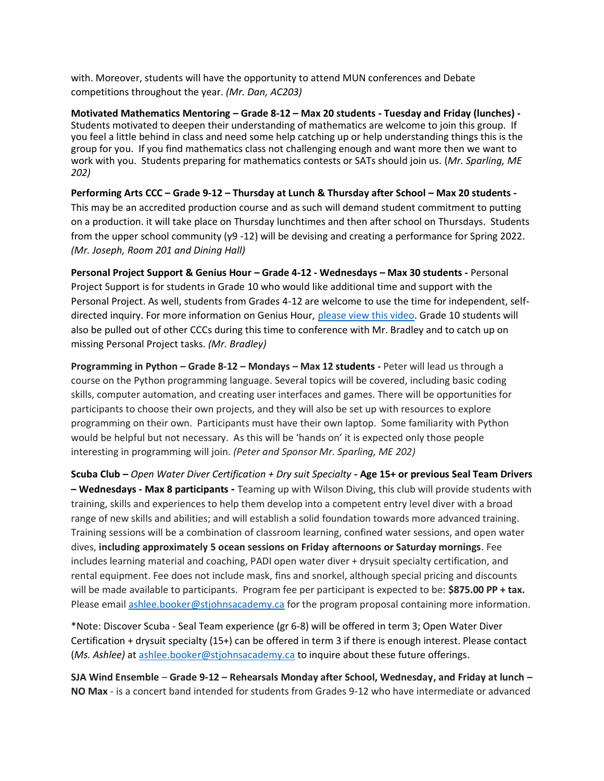with. Moreover, students will have the opportunity to attend MUN conferences and Debate competitions throughout the year. *(Mr. Dan, AC203)*

**Motivated Mathematics Mentoring – Grade 8-12 – Max 20 students - Tuesday and Friday (lunches) -** Students motivated to deepen their understanding of mathematics are welcome to join this group. If you feel a little behind in class and need some help catching up or help understanding things this is the group for you. If you find mathematics class not challenging enough and want more then we want to work with you. Students preparing for mathematics contests or SATs should join us. (*Mr. Sparling, ME 202)*

**Performing Arts CCC – Grade 9-12 – Thursday at Lunch & Thursday after School – Max 20 students -** This may be an accredited production course and as such will demand student commitment to putting on a production. it will take place on Thursday lunchtimes and then after school on Thursdays. Students from the upper school community (y9 -12) will be devising and creating a performance for Spring 2022. *(Mr. Joseph, Room 201 and Dining Hall)*

**Personal Project Support & Genius Hour – Grade 4-12 - Wednesdays – Max 30 students -** Personal Project Support is for students in Grade 10 who would like additional time and support with the Personal Project. As well, students from Grades 4-12 are welcome to use the time for independent, selfdirected inquiry. For more information on Genius Hour, [please view](https://youtu.be/COF-bqZuE-I) this video. Grade 10 students will also be pulled out of other CCCs during this time to conference with Mr. Bradley and to catch up on missing Personal Project tasks. *(Mr. Bradley)*

**Programming in Python – Grade 8-12 – Mondays – Max 12 students -** Peter will lead us through a course on the Python programming language. Several topics will be covered, including basic coding skills, computer automation, and creating user interfaces and games. There will be opportunities for participants to choose their own projects, and they will also be set up with resources to explore programming on their own. Participants must have their own laptop. Some familiarity with Python would be helpful but not necessary. As this will be 'hands on' it is expected only those people interesting in programming will join. *(Peter and Sponsor Mr. Sparling, ME 202)*

**Scuba Club –** *Open Water Diver Certification + Dry suit Specialty* **- Age 15+ or previous Seal Team Drivers – Wednesdays - Max 8 participants -** Teaming up with Wilson Diving, this club will provide students with training, skills and experiences to help them develop into a competent entry level diver with a broad range of new skills and abilities; and will establish a solid foundation towards more advanced training. Training sessions will be a combination of classroom learning, confined water sessions, and open water dives, **including approximately 5 ocean sessions on Friday afternoons or Saturday mornings**. Fee includes learning material and coaching, PADI open water diver + drysuit specialty certification, and rental equipment. Fee does not include mask, fins and snorkel, although special pricing and discounts will be made available to participants. Program fee per participant is expected to be: **\$875.00 PP + tax.**  Please email [ashlee.booker@stjohnsacademy.ca](mailto:ashlee.booker@stjohnsacademy.ca) for the program proposal containing more information.

\*Note: Discover Scuba - Seal Team experience (gr 6-8) will be offered in term 3; Open Water Diver Certification + drysuit specialty (15+) can be offered in term 3 if there is enough interest. Please contact (*Ms. Ashlee)* at [ashlee.booker@stjohnsacademy.ca](mailto:ashlee.booker@stjohnsacademy.ca) to inquire about these future offerings.

**SJA Wind Ensemble** – **Grade 9-12 – Rehearsals Monday after School, Wednesday, and Friday at lunch – NO Max** - is a concert band intended for students from Grades 9-12 who have intermediate or advanced